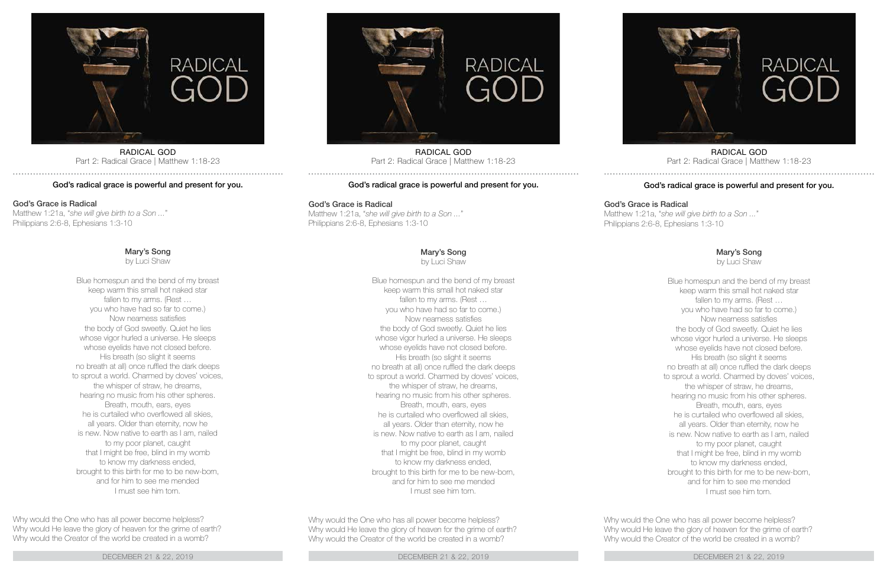

RADICAL GOD Part 2: Radical Grace | Matthew 1:18-23

## God's radical grace is powerful and present for you.

## God's Grace is Radical

Matthew 1:21a, "*she will give birth to a Son ...*" Philippians 2:6-8, Ephesians 1:3-10

Mary's Song

by Luci Shaw

Blue homespun and the bend of my breast keep warm this small hot naked star fallen to my arms. (Rest ... you who have had so far to come.) Now nearness satisfies the body of God sweetly. Quiet he lies whose vigor hurled a universe. He sleeps whose eyelids have not closed before. His breath (so slight it seems no breath at all) once ruffled the dark deeps to sprout a world. Charmed by doves' voices, the whisper of straw, he dreams, hearing no music from his other spheres. Breath, mouth, ears, eyes he is curtailed who overflowed all skies, all years. Older than eternity, now he is new. Now native to earth as I am, nailed to my poor planet, caught that I might be free, blind in my womb to know my darkness ended, brought to this birth for me to be new-born, and for him to see me mended I must see him torn.

Why would the One who has all power become helpless? Why would He leave the glory of heaven for the grime of earth? Why would the Creator of the world be created in a womb?

DECEMBER 21 & 22, 2019